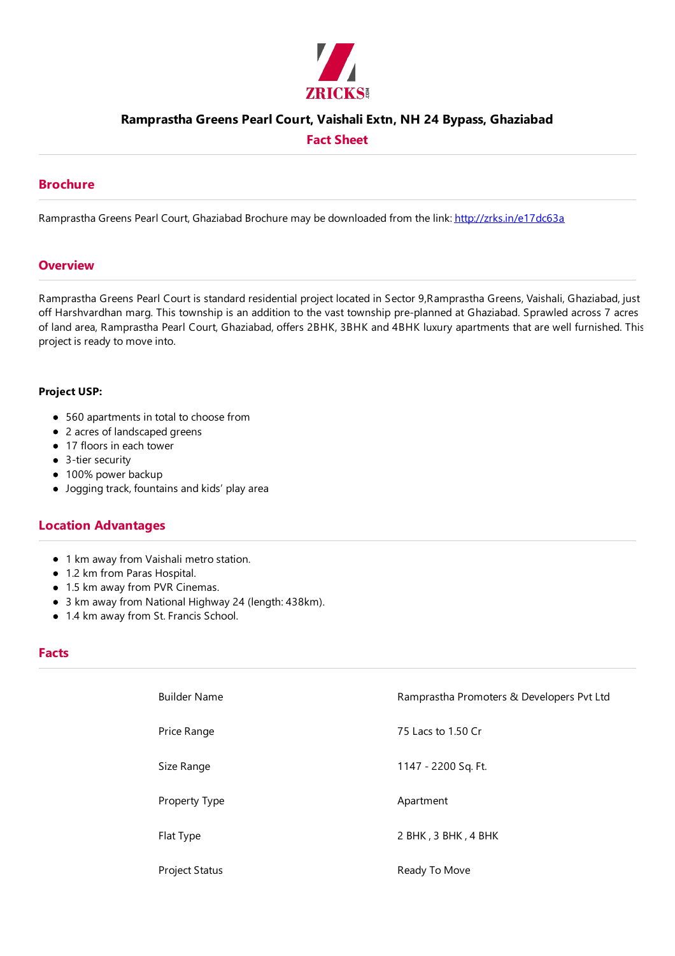

## **Ramprastha Greens Pearl Court, VaishaliExtn, NH 24 Bypass, Ghaziabad**

## **Fact Sheet**

## **Brochure**

Ramprastha Greens Pearl Court, Ghaziabad Brochure may be downloaded from the link: http://zrks.in/e17dc63a

### **Overview**

Ramprastha Greens Pearl Court is standard residential project located in Sector 9,Ramprastha Greens, Vaishali, Ghaziabad, just off Harshvardhan marg. This township is an addition to the vast township pre-planned at Ghaziabad. Sprawled across 7 acres of land area, Ramprastha Pearl Court, Ghaziabad, offers 2BHK, 3BHK and 4BHK luxury apartments that are well furnished. This project is ready to move into.

#### **Project USP:**

- 560 apartments in total to choose from
- 2 acres of landscaped greens
- 17 floors in each tower
- 3-tier security
- 100% power backup
- Jogging track, fountains and kids' play area

## **Location Advantages**

- 1 km away from Vaishali metro station.
- 1.2 km from Paras Hospital.
- 1.5 km away from PVR Cinemas.
- 3 km away from National Highway 24 (length: 438km).
- 1.4 km away from St. Francis School.

### **Facts**

| <b>Builder Name</b>   | Ramprastha Promoters & Developers Pvt Ltd |
|-----------------------|-------------------------------------------|
| Price Range           | 75 Lacs to 1.50 Cr                        |
| Size Range            | 1147 - 2200 Sq. Ft.                       |
| Property Type         | Apartment                                 |
| Flat Type             | 2 BHK, 3 BHK, 4 BHK                       |
| <b>Project Status</b> | Ready To Move                             |